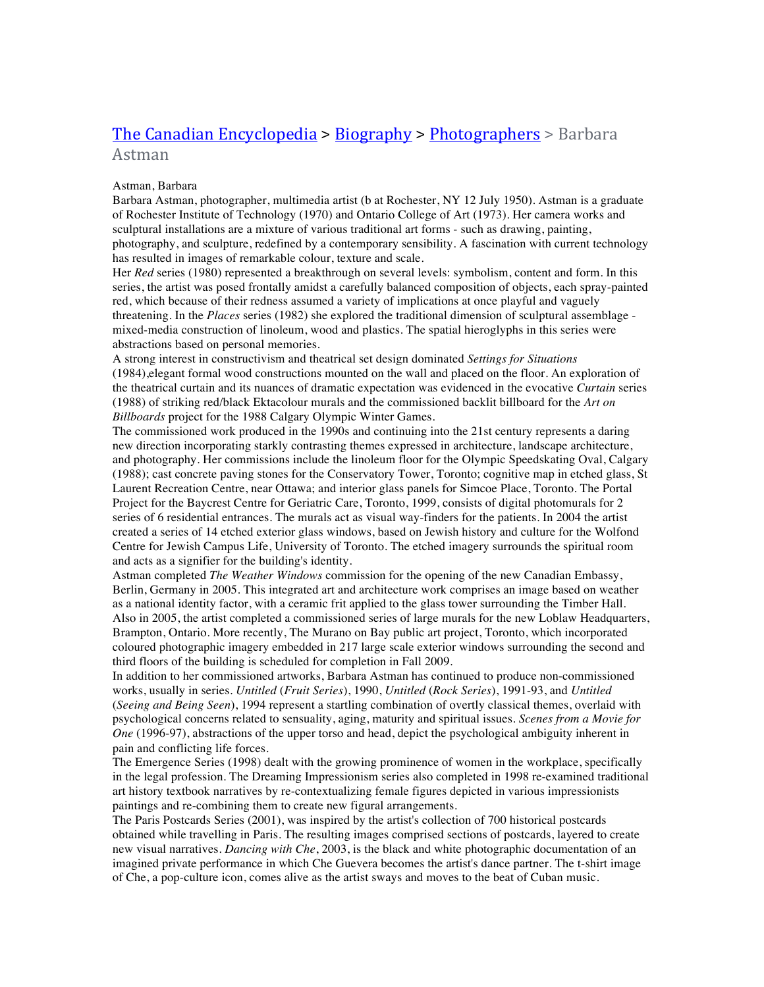## The Canadian Encyclopedia > Biography > Photographers > Barbara Astman

## Astman, Barbara

Barbara Astman, photographer, multimedia artist (b at Rochester, NY 12 July 1950). Astman is a graduate of Rochester Institute of Technology (1970) and Ontario College of Art (1973). Her camera works and sculptural installations are a mixture of various traditional art forms - such as drawing, painting, photography, and sculpture, redefined by a contemporary sensibility. A fascination with current technology has resulted in images of remarkable colour, texture and scale.

Her *Red* series (1980) represented a breakthrough on several levels: symbolism, content and form. In this series, the artist was posed frontally amidst a carefully balanced composition of objects, each spray-painted red, which because of their redness assumed a variety of implications at once playful and vaguely threatening. In the *Places* series (1982) she explored the traditional dimension of sculptural assemblage mixed-media construction of linoleum, wood and plastics. The spatial hieroglyphs in this series were abstractions based on personal memories.

A strong interest in constructivism and theatrical set design dominated *Settings for Situations* (1984),elegant formal wood constructions mounted on the wall and placed on the floor. An exploration of the theatrical curtain and its nuances of dramatic expectation was evidenced in the evocative *Curtain* series (1988) of striking red/black Ektacolour murals and the commissioned backlit billboard for the *Art on Billboards* project for the 1988 Calgary Olympic Winter Games.

The commissioned work produced in the 1990s and continuing into the 21st century represents a daring new direction incorporating starkly contrasting themes expressed in architecture, landscape architecture, and photography. Her commissions include the linoleum floor for the Olympic Speedskating Oval, Calgary (1988); cast concrete paving stones for the Conservatory Tower, Toronto; cognitive map in etched glass, St Laurent Recreation Centre, near Ottawa; and interior glass panels for Simcoe Place, Toronto. The Portal Project for the Baycrest Centre for Geriatric Care, Toronto, 1999, consists of digital photomurals for 2 series of 6 residential entrances. The murals act as visual way-finders for the patients. In 2004 the artist created a series of 14 etched exterior glass windows, based on Jewish history and culture for the Wolfond Centre for Jewish Campus Life, University of Toronto. The etched imagery surrounds the spiritual room and acts as a signifier for the building's identity.

Astman completed *The Weather Windows* commission for the opening of the new Canadian Embassy, Berlin, Germany in 2005. This integrated art and architecture work comprises an image based on weather as a national identity factor, with a ceramic frit applied to the glass tower surrounding the Timber Hall. Also in 2005, the artist completed a commissioned series of large murals for the new Loblaw Headquarters, Brampton, Ontario. More recently, The Murano on Bay public art project, Toronto, which incorporated coloured photographic imagery embedded in 217 large scale exterior windows surrounding the second and third floors of the building is scheduled for completion in Fall 2009.

In addition to her commissioned artworks, Barbara Astman has continued to produce non-commissioned works, usually in series. *Untitled* (*Fruit Series*), 1990, *Untitled* (*Rock Series*), 1991-93, and *Untitled* (*Seeing and Being Seen*), 1994 represent a startling combination of overtly classical themes, overlaid with psychological concerns related to sensuality, aging, maturity and spiritual issues. *Scenes from a Movie for One* (1996-97), abstractions of the upper torso and head, depict the psychological ambiguity inherent in pain and conflicting life forces.

The Emergence Series (1998) dealt with the growing prominence of women in the workplace, specifically in the legal profession. The Dreaming Impressionism series also completed in 1998 re-examined traditional art history textbook narratives by re-contextualizing female figures depicted in various impressionists paintings and re-combining them to create new figural arrangements.

The Paris Postcards Series (2001), was inspired by the artist's collection of 700 historical postcards obtained while travelling in Paris. The resulting images comprised sections of postcards, layered to create new visual narratives. *Dancing with Che*, 2003, is the black and white photographic documentation of an imagined private performance in which Che Guevera becomes the artist's dance partner. The t-shirt image of Che, a pop-culture icon, comes alive as the artist sways and moves to the beat of Cuban music.